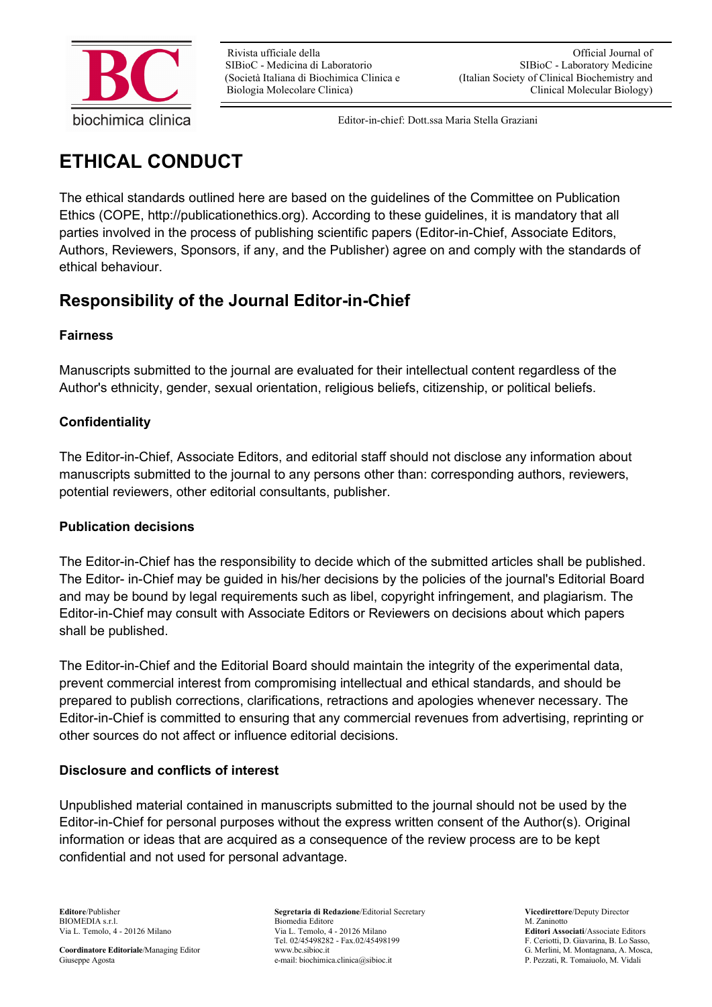

# **ETHICAL CONDUCT**

The ethical standards outlined here are based on the guidelines of the Committee on Publication Ethics (COPE, http://publicationethics.org). According to these guidelines, it is mandatory that all parties involved in the process of publishing scientific papers (Editor-in-Chief, Associate Editors, Authors, Reviewers, Sponsors, if any, and the Publisher) agree on and comply with the standards of ethical behaviour.

# **Responsibility of the Journal Editor-in-Chief**

#### **Fairness**

Manuscripts submitted to the journal are evaluated for their intellectual content regardless of the Author's ethnicity, gender, sexual orientation, religious beliefs, citizenship, or political beliefs.

#### **Confidentiality**

The Editor-in-Chief, Associate Editors, and editorial staff should not disclose any information about manuscripts submitted to the journal to any persons other than: corresponding authors, reviewers, potential reviewers, other editorial consultants, publisher.

#### **Publication decisions**

The Editor-in-Chief has the responsibility to decide which of the submitted articles shall be published. The Editor- in-Chief may be guided in his/her decisions by the policies of the journal's Editorial Board and may be bound by legal requirements such as libel, copyright infringement, and plagiarism. The Editor-in-Chief may consult with Associate Editors or Reviewers on decisions about which papers shall be published.

The Editor-in-Chief and the Editorial Board should maintain the integrity of the experimental data, prevent commercial interest from compromising intellectual and ethical standards, and should be prepared to publish corrections, clarifications, retractions and apologies whenever necessary. The Editor-in-Chief is committed to ensuring that any commercial revenues from advertising, reprinting or other sources do not affect or influence editorial decisions.

#### **Disclosure and conflicts of interest**

Unpublished material contained in manuscripts submitted to the journal should not be used by the Editor-in-Chief for personal purposes without the express written consent of the Author(s). Original information or ideas that are acquired as a consequence of the review process are to be kept confidential and not used for personal advantage.

**Editore**/Publisher **Segretaria di Redazione**/Editorial Secretary **Vicedirettore**/Deputy Director<br> **BIOMEDIA s.r.l.** Biomedia Editore **BIOMEDIA s.r.l.** M. Zaninotto Biomedia Editore Via L. Temolo, 4 - 20126 Milano Via L. Temolo, 4 - 20126 Milano **Editori Associati**/Associate Editors Tel. 02/45498282 - Fax.02/45498199 F. Ceriotti, D. Giavarina, B. Lo Sasso, www.bc.sibioc.it<br>G. Merlini, M. Montagnana, A. Mosca, **Coordinatore Editoriale/Managing Editor** www.bc.sibioc.it G. Merlini, M. Montagnana, A. Moscover, G. Merlini, M. Montagnana, A. Moscover, G. Merlini, M. Montagnana, A. Moscover, e-mail: biochimica.clinica@sibioc.it P. Pez e-mail: biochimica.clinica@sibioc.it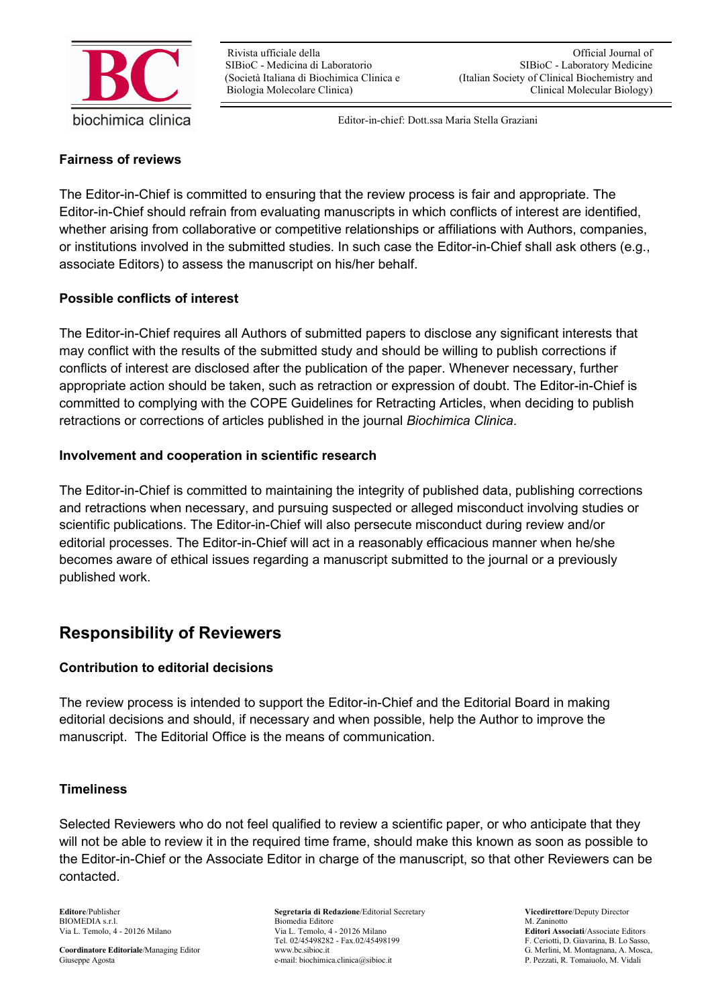

#### **Fairness of reviews**

The Editor-in-Chief is committed to ensuring that the review process is fair and appropriate. The Editor-in-Chief should refrain from evaluating manuscripts in which conflicts of interest are identified, whether arising from collaborative or competitive relationships or affiliations with Authors, companies, or institutions involved in the submitted studies. In such case the Editor-in-Chief shall ask others (e.g., associate Editors) to assess the manuscript on his/her behalf.

#### **Possible conflicts of interest**

The Editor-in-Chief requires all Authors of submitted papers to disclose any significant interests that may conflict with the results of the submitted study and should be willing to publish corrections if conflicts of interest are disclosed after the publication of the paper. Whenever necessary, further appropriate action should be taken, such as retraction or expression of doubt. The Editor-in-Chief is committed to complying with the COPE Guidelines for Retracting Articles, when deciding to publish retractions or corrections of articles published in the journal *Biochimica Clinica*.

#### **Involvement and cooperation in scientific research**

The Editor-in-Chief is committed to maintaining the integrity of published data, publishing corrections and retractions when necessary, and pursuing suspected or alleged misconduct involving studies or scientific publications. The Editor-in-Chief will also persecute misconduct during review and/or editorial processes. The Editor-in-Chief will act in a reasonably efficacious manner when he/she becomes aware of ethical issues regarding a manuscript submitted to the journal or a previously published work.

### **Responsibility of Reviewers**

#### **Contribution to editorial decisions**

The review process is intended to support the Editor-in-Chief and the Editorial Board in making editorial decisions and should, if necessary and when possible, help the Author to improve the manuscript. The Editorial Office is the means of communication.

#### **Timeliness**

Selected Reviewers who do not feel qualified to review a scientific paper, or who anticipate that they will not be able to review it in the required time frame, should make this known as soon as possible to the Editor-in-Chief or the Associate Editor in charge of the manuscript, so that other Reviewers can be contacted.

**Editore**/Publisher **Segretaria di Redazione**/Editorial Secretary **Vicedirettore**/Deputy Director<br> **BIOMEDIA s.r.l.** Biomedia Editore **BIOMEDIA s.r.l.** M. Zaninotto Biomedia Editore Via L. Temolo, 4 - 20126 Milano Via L. Temolo, 4 - 20126 Milano **Editori Associati**/Associate Editors Tel. 02/45498282 - Fax.02/45498199 F. Ceriotti, D. Giavarina, B. Lo Sasso, www.bc.sibioc.it<br>G. Merlini, M. Montagnana, A. Mosca, **Coordinatore Editoriale/Managing Editor** www.bc.sibioc.it G. Merlini, M. Montagnana, A. Moscover, G. Merlini, M. Montagnana, A. Moscover, G. Merlini, M. Montagnana, A. Moscover, e-mail: biochimica.clinica@sibioc.it P. Pez e-mail: biochimica.clinica@sibioc.it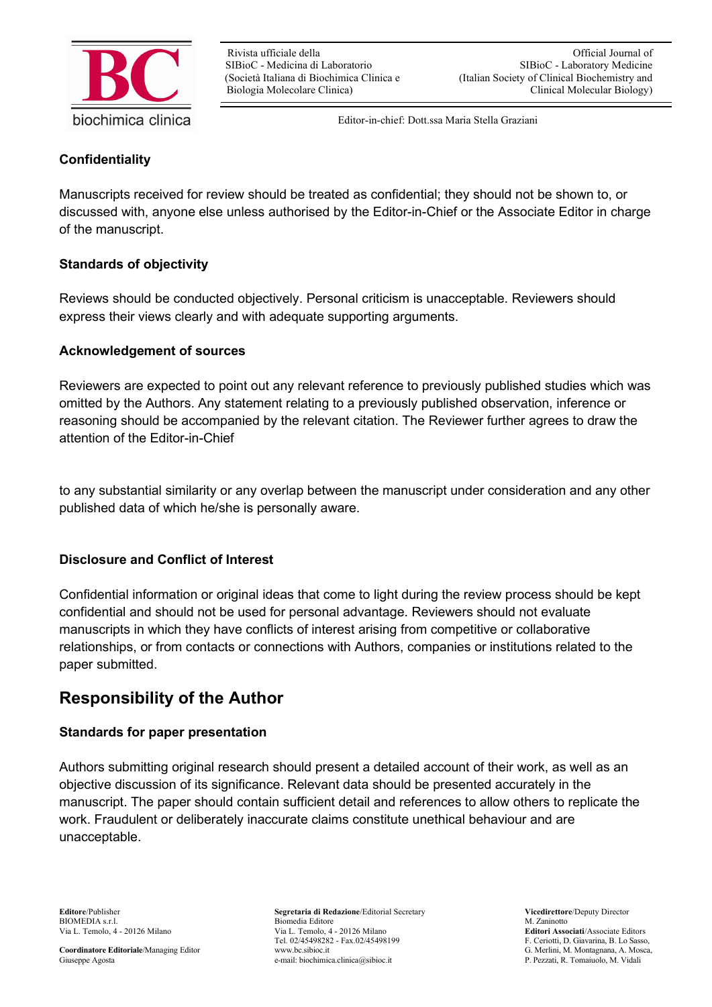

#### **Confidentiality**

Manuscripts received for review should be treated as confidential; they should not be shown to, or discussed with, anyone else unless authorised by the Editor-in-Chief or the Associate Editor in charge of the manuscript.

#### **Standards of objectivity**

Reviews should be conducted objectively. Personal criticism is unacceptable. Reviewers should express their views clearly and with adequate supporting arguments.

#### **Acknowledgement of sources**

Reviewers are expected to point out any relevant reference to previously published studies which was omitted by the Authors. Any statement relating to a previously published observation, inference or reasoning should be accompanied by the relevant citation. The Reviewer further agrees to draw the attention of the Editor-in-Chief

to any substantial similarity or any overlap between the manuscript under consideration and any other published data of which he/she is personally aware.

#### **Disclosure and Conflict of Interest**

Confidential information or original ideas that come to light during the review process should be kept confidential and should not be used for personal advantage. Reviewers should not evaluate manuscripts in which they have conflicts of interest arising from competitive or collaborative relationships, or from contacts or connections with Authors, companies or institutions related to the paper submitted.

# **Responsibility of the Author**

#### **Standards for paper presentation**

Authors submitting original research should present a detailed account of their work, as well as an objective discussion of its significance. Relevant data should be presented accurately in the manuscript. The paper should contain sufficient detail and references to allow others to replicate the work. Fraudulent or deliberately inaccurate claims constitute unethical behaviour and are unacceptable.

**Coordinatore Editoriale/Managing Editor** www.bc.sibioc.it G. Merlini, M. Montagnana, A. Moscover, G. Merlini, M. Montagnana, A. Moscover, G. Merlini, M. Montagnana, A. Moscover, e-mail: biochimica.clinica@sibioc.it P. Pez

**Editore**/Publisher **Segretaria di Redazione**/Editorial Secretary **Vicedirettore**/Deputy Director<br> **BIOMEDIA s.r.l.** Biomedia Editore **BIOMEDIA State M. Zaninotto** Biomedia Editore Via L. Temolo, 4 - 20126 Milano Via L. Temolo, 4 - 20126 Milano **Editori Associati**/Associate Editors Tel. 02/45498282 - Fax.02/45498199 F. Ceriotti, D. Giavarina, B. Lo Sasso, www.bc.sibioc.it<br>G. Merlini, M. Montagnana, A. Mosca, e-mail: biochimica.clinica@sibioc.it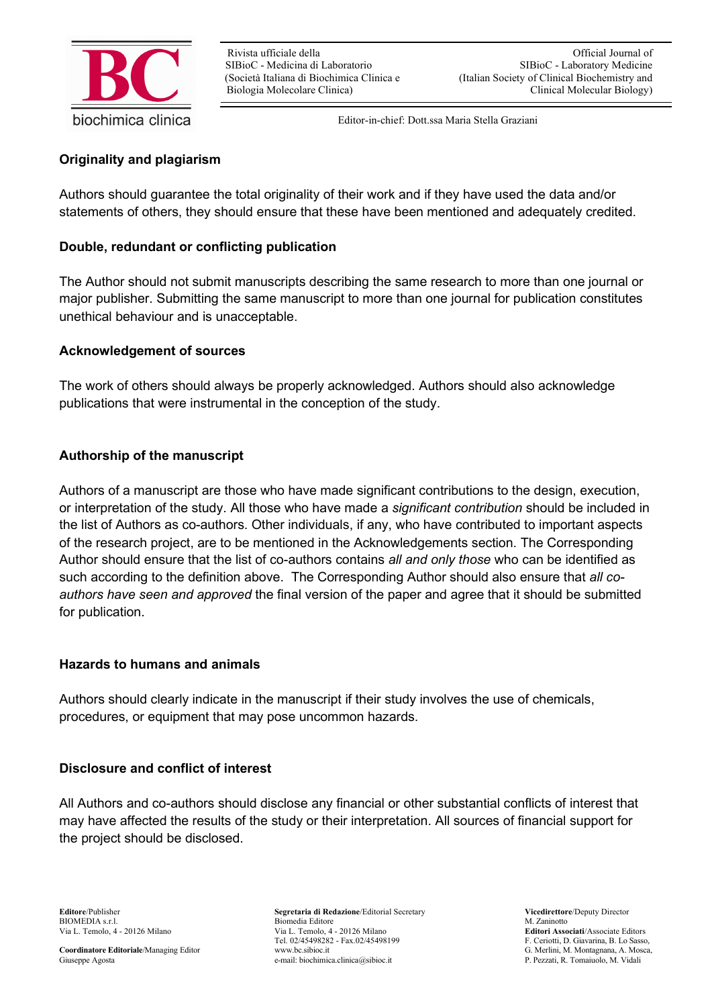

#### **Originality and plagiarism**

Authors should guarantee the total originality of their work and if they have used the data and/or statements of others, they should ensure that these have been mentioned and adequately credited.

#### **Double, redundant or conflicting publication**

The Author should not submit manuscripts describing the same research to more than one journal or major publisher. Submitting the same manuscript to more than one journal for publication constitutes unethical behaviour and is unacceptable.

#### **Acknowledgement of sources**

The work of others should always be properly acknowledged. Authors should also acknowledge publications that were instrumental in the conception of the study.

#### **Authorship of the manuscript**

Authors of a manuscript are those who have made significant contributions to the design, execution, or interpretation of the study. All those who have made a *significant contribution* should be included in the list of Authors as co-authors. Other individuals, if any, who have contributed to important aspects of the research project, are to be mentioned in the Acknowledgements section. The Corresponding Author should ensure that the list of co-authors contains *all and only those* who can be identified as such according to the definition above. The Corresponding Author should also ensure that *all coauthors have seen and approved* the final version of the paper and agree that it should be submitted for publication.

#### **Hazards to humans and animals**

Authors should clearly indicate in the manuscript if their study involves the use of chemicals, procedures, or equipment that may pose uncommon hazards.

#### **Disclosure and conflict of interest**

All Authors and co-authors should disclose any financial or other substantial conflicts of interest that may have affected the results of the study or their interpretation. All sources of financial support for the project should be disclosed.

**Editore**/Publisher **Segretaria di Redazione**/Editorial Secretary **Vicedirettore**/Deputy Director<br> **BIOMEDIA s.r.l.** Biomedia Editore **BIOMEDIA s.r.l.** M. Zaninotto Biomedia Editore Via L. Temolo, 4 - 20126 Milano Via L. Temolo, 4 - 20126 Milano **Editori Associati**/Associate Editors Tel. 02/45498282 - Fax.02/45498199 F. Ceriotti, D. Giavarina, B. Lo Sasso, www.bc.sibioc.it<br>G. Merlini, M. Montagnana, A. Mosca, e-mail: biochimica.clinica@sibioc.it